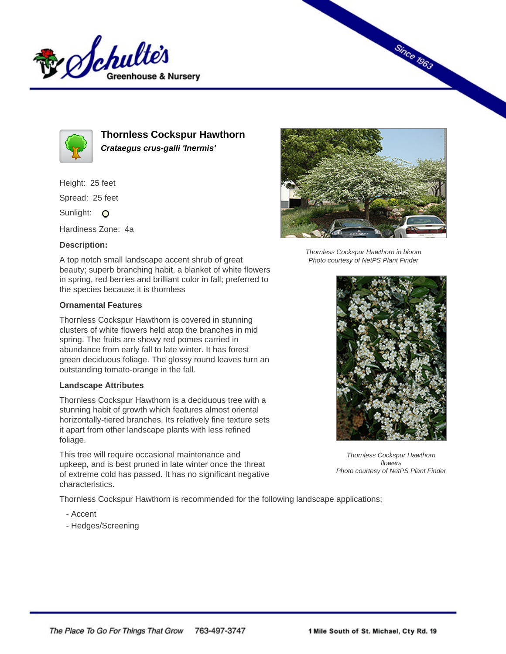



**Thornless Cockspur Hawthorn Crataegus crus-galli 'Inermis'**

Height: 25 feet Spread: 25 feet

Sunlight: O

Hardiness Zone: 4a

## **Description:**

A top notch small landscape accent shrub of great beauty; superb branching habit, a blanket of white flowers in spring, red berries and brilliant color in fall; preferred to the species because it is thornless

## **Ornamental Features**

Thornless Cockspur Hawthorn is covered in stunning clusters of white flowers held atop the branches in mid spring. The fruits are showy red pomes carried in abundance from early fall to late winter. It has forest green deciduous foliage. The glossy round leaves turn an outstanding tomato-orange in the fall.

## **Landscape Attributes**

Thornless Cockspur Hawthorn is a deciduous tree with a stunning habit of growth which features almost oriental horizontally-tiered branches. Its relatively fine texture sets it apart from other landscape plants with less refined foliage.

This tree will require occasional maintenance and upkeep, and is best pruned in late winter once the threat of extreme cold has passed. It has no significant negative characteristics.

Thornless Cockspur Hawthorn is recommended for the following landscape applications;

- Accent
- Hedges/Screening



**Since 1963** 

Thornless Cockspur Hawthorn in bloom Photo courtesy of NetPS Plant Finder



Thornless Cockspur Hawthorn flowers Photo courtesy of NetPS Plant Finder